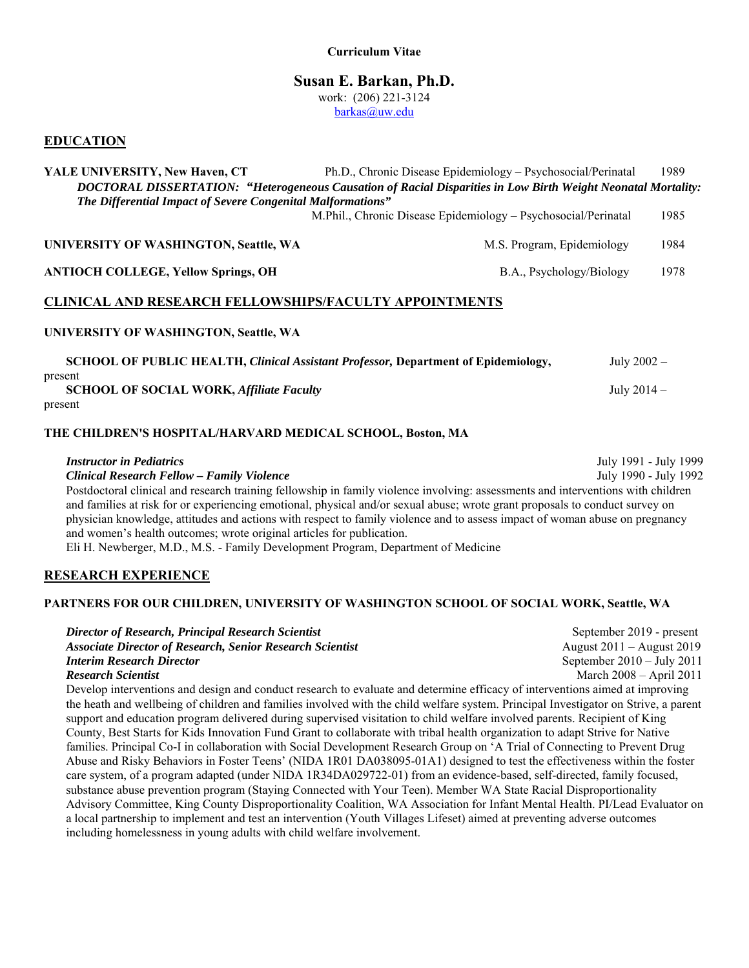# **Susan E. Barkan, Ph.D.**

work: (206) 221-3124

barkas@uw.edu

# **EDUCATION**

| YALE UNIVERSITY, New Haven, CT                                                                                | Ph.D., Chronic Disease Epidemiology - Psychosocial/Perinatal                                               | 1989 |  |  |  |
|---------------------------------------------------------------------------------------------------------------|------------------------------------------------------------------------------------------------------------|------|--|--|--|
| DOCTORAL DISSERTATION: "Heterogeneous Causation of Racial Disparities in Low Birth Weight Neonatal Mortality: |                                                                                                            |      |  |  |  |
| The Differential Impact of Severe Congenital Malformations"                                                   |                                                                                                            |      |  |  |  |
|                                                                                                               | M.Phil., Chronic Disease Epidemiology – Psychosocial/Perinatal                                             | 1985 |  |  |  |
| UNIVERSITY OF WASHINGTON, Seattle, WA                                                                         | M.S. Program, Epidemiology                                                                                 | 1984 |  |  |  |
| <b>ANTIOCH COLLEGE, Yellow Springs, OH</b>                                                                    | B.A., Psychology/Biology                                                                                   | 1978 |  |  |  |
| <b>CLINICAL AND RESEARCH FELLOWSHIPS/FACULTY APPOINTMENTS</b>                                                 |                                                                                                            |      |  |  |  |
| <b>UNIVERSITY OF WASHINGTON, Seattle, WA</b>                                                                  |                                                                                                            |      |  |  |  |
|                                                                                                               | <b>SCHOOL OF PUBLIC HEALTH, Clinical Assistant Professor, Department of Epidemiology,</b><br>July $2002 -$ |      |  |  |  |
| present<br><b>SCHOOL OF SOCIAL WORK, Affiliate Faculty</b>                                                    | July $2014-$                                                                                               |      |  |  |  |
|                                                                                                               |                                                                                                            |      |  |  |  |

#### present

## **THE CHILDREN'S HOSPITAL/HARVARD MEDICAL SCHOOL, Boston, MA**

*Instructor in Pediatrics* July 1991 - July 1999 *Clinical Research Fellow – Family Violence* July 1990 - July 1992 Postdoctoral clinical and research training fellowship in family violence involving: assessments and interventions with children and families at risk for or experiencing emotional, physical and/or sexual abuse; wrote grant proposals to conduct survey on physician knowledge, attitudes and actions with respect to family violence and to assess impact of woman abuse on pregnancy and women's health outcomes; wrote original articles for publication. Eli H. Newberger, M.D., M.S. - Family Development Program, Department of Medicine

## **RESEARCH EXPERIENCE**

## **PARTNERS FOR OUR CHILDREN, UNIVERSITY OF WASHINGTON SCHOOL OF SOCIAL WORK, Seattle, WA**

| Director of Research, Principal Research Scientist                                                                           | September 2019 - present             |
|------------------------------------------------------------------------------------------------------------------------------|--------------------------------------|
| <b>Associate Director of Research, Senior Research Scientist</b>                                                             | August $2011 -$ August $2019$        |
| <b>Interim Research Director</b>                                                                                             | September $2010 - \text{July } 2011$ |
| <b>Research Scientist</b>                                                                                                    | March $2008 -$ April $2011$          |
| Develop interventions and design and conduct research to evaluate and determine efficacy of interventions aimed at improving |                                      |

the heath and wellbeing of children and families involved with the child welfare system. Principal Investigator on Strive, a parent support and education program delivered during supervised visitation to child welfare involved parents. Recipient of King County, Best Starts for Kids Innovation Fund Grant to collaborate with tribal health organization to adapt Strive for Native families. Principal Co-I in collaboration with Social Development Research Group on 'A Trial of Connecting to Prevent Drug Abuse and Risky Behaviors in Foster Teens' (NIDA 1R01 DA038095-01A1) designed to test the effectiveness within the foster care system, of a program adapted (under NIDA 1R34DA029722-01) from an evidence-based, self-directed, family focused, substance abuse prevention program (Staying Connected with Your Teen). Member WA State Racial Disproportionality Advisory Committee, King County Disproportionality Coalition, WA Association for Infant Mental Health. PI/Lead Evaluator on a local partnership to implement and test an intervention (Youth Villages Lifeset) aimed at preventing adverse outcomes including homelessness in young adults with child welfare involvement.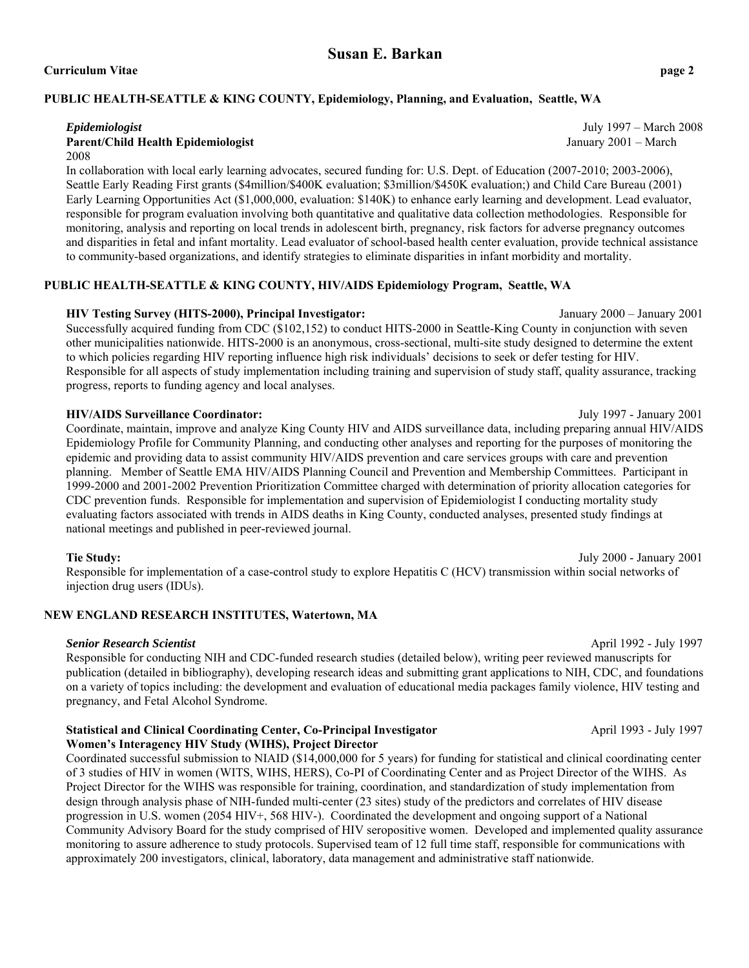#### **Curriculum Vitae page 2**

## **PUBLIC HEALTH-SEATTLE & KING COUNTY, Epidemiology, Planning, and Evaluation, Seattle, WA**

#### **Parent/Child Health Epidemiologist** January 2001 – March 2008

In collaboration with local early learning advocates, secured funding for: U.S. Dept. of Education (2007-2010; 2003-2006), Seattle Early Reading First grants (\$4million/\$400K evaluation; \$3million/\$450K evaluation;) and Child Care Bureau (2001) Early Learning Opportunities Act (\$1,000,000, evaluation: \$140K) to enhance early learning and development. Lead evaluator, responsible for program evaluation involving both quantitative and qualitative data collection methodologies. Responsible for monitoring, analysis and reporting on local trends in adolescent birth, pregnancy, risk factors for adverse pregnancy outcomes and disparities in fetal and infant mortality. Lead evaluator of school-based health center evaluation, provide technical assistance to community-based organizations, and identify strategies to eliminate disparities in infant morbidity and mortality.

# **PUBLIC HEALTH-SEATTLE & KING COUNTY, HIV/AIDS Epidemiology Program, Seattle, WA**

#### **HIV Testing Survey (HITS-2000), Principal Investigator:** January 2000 – January 2001

Successfully acquired funding from CDC (\$102,152) to conduct HITS-2000 in Seattle-King County in conjunction with seven other municipalities nationwide. HITS-2000 is an anonymous, cross-sectional, multi-site study designed to determine the extent to which policies regarding HIV reporting influence high risk individuals' decisions to seek or defer testing for HIV. Responsible for all aspects of study implementation including training and supervision of study staff, quality assurance, tracking progress, reports to funding agency and local analyses.

#### **HIV/AIDS Surveillance Coordinator:** July 1997 - January 2001

Coordinate, maintain, improve and analyze King County HIV and AIDS surveillance data, including preparing annual HIV/AIDS Epidemiology Profile for Community Planning, and conducting other analyses and reporting for the purposes of monitoring the epidemic and providing data to assist community HIV/AIDS prevention and care services groups with care and prevention planning. Member of Seattle EMA HIV/AIDS Planning Council and Prevention and Membership Committees. Participant in 1999-2000 and 2001-2002 Prevention Prioritization Committee charged with determination of priority allocation categories for CDC prevention funds. Responsible for implementation and supervision of Epidemiologist I conducting mortality study evaluating factors associated with trends in AIDS deaths in King County, conducted analyses, presented study findings at national meetings and published in peer-reviewed journal.

#### **Tie Study:** July 2000 - January 2001

Responsible for implementation of a case-control study to explore Hepatitis C (HCV) transmission within social networks of injection drug users (IDUs).

## **NEW ENGLAND RESEARCH INSTITUTES, Watertown, MA**

#### *Senior Research Scientist* April 1992 - July 1997

Responsible for conducting NIH and CDC-funded research studies (detailed below), writing peer reviewed manuscripts for publication (detailed in bibliography), developing research ideas and submitting grant applications to NIH, CDC, and foundations on a variety of topics including: the development and evaluation of educational media packages family violence, HIV testing and pregnancy, and Fetal Alcohol Syndrome.

#### **Statistical and Clinical Coordinating Center, Co-Principal Investigator April 1993** - July 1997 **Women's Interagency HIV Study (WIHS), Project Director**

Coordinated successful submission to NIAID (\$14,000,000 for 5 years) for funding for statistical and clinical coordinating center of 3 studies of HIV in women (WITS, WIHS, HERS), Co-PI of Coordinating Center and as Project Director of the WIHS. As Project Director for the WIHS was responsible for training, coordination, and standardization of study implementation from design through analysis phase of NIH-funded multi-center (23 sites) study of the predictors and correlates of HIV disease progression in U.S. women (2054 HIV+, 568 HIV-). Coordinated the development and ongoing support of a National Community Advisory Board for the study comprised of HIV seropositive women. Developed and implemented quality assurance monitoring to assure adherence to study protocols. Supervised team of 12 full time staff, responsible for communications with approximately 200 investigators, clinical, laboratory, data management and administrative staff nationwide.

*Epidemiologist* July 1997 – March 2008

**Susan E. Barkan**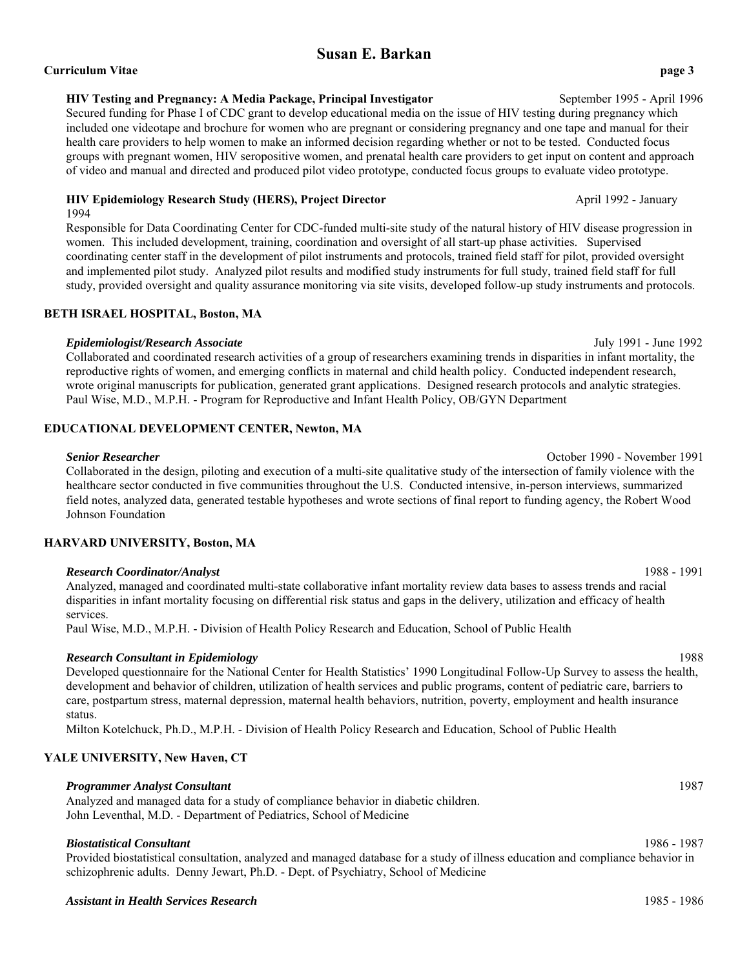#### **Curriculum Vitae page 3**

#### **HIV Testing and Pregnancy: A Media Package, Principal Investigator** September 1995 - April 1996

Secured funding for Phase I of CDC grant to develop educational media on the issue of HIV testing during pregnancy which included one videotape and brochure for women who are pregnant or considering pregnancy and one tape and manual for their health care providers to help women to make an informed decision regarding whether or not to be tested. Conducted focus groups with pregnant women, HIV seropositive women, and prenatal health care providers to get input on content and approach of video and manual and directed and produced pilot video prototype, conducted focus groups to evaluate video prototype.

#### **HIV Epidemiology Research Study (HERS), Project Director <b>April 1992** - January

1994

Responsible for Data Coordinating Center for CDC-funded multi-site study of the natural history of HIV disease progression in women. This included development, training, coordination and oversight of all start-up phase activities. Supervised coordinating center staff in the development of pilot instruments and protocols, trained field staff for pilot, provided oversight and implemented pilot study. Analyzed pilot results and modified study instruments for full study, trained field staff for full study, provided oversight and quality assurance monitoring via site visits, developed follow-up study instruments and protocols.

#### **BETH ISRAEL HOSPITAL, Boston, MA**

## *Epidemiologist/Research Associate* July 1991 - June 1992

Collaborated and coordinated research activities of a group of researchers examining trends in disparities in infant mortality, the reproductive rights of women, and emerging conflicts in maternal and child health policy. Conducted independent research, wrote original manuscripts for publication, generated grant applications. Designed research protocols and analytic strategies. Paul Wise, M.D., M.P.H. - Program for Reproductive and Infant Health Policy, OB/GYN Department

## **EDUCATIONAL DEVELOPMENT CENTER, Newton, MA**

#### *Senior Researcher* October 1990 - November 1991

Collaborated in the design, piloting and execution of a multi-site qualitative study of the intersection of family violence with the healthcare sector conducted in five communities throughout the U.S. Conducted intensive, in-person interviews, summarized field notes, analyzed data, generated testable hypotheses and wrote sections of final report to funding agency, the Robert Wood Johnson Foundation

# **HARVARD UNIVERSITY, Boston, MA**

# *Research Coordinator/Analyst* 1988 - 1991

Analyzed, managed and coordinated multi-state collaborative infant mortality review data bases to assess trends and racial disparities in infant mortality focusing on differential risk status and gaps in the delivery, utilization and efficacy of health services.

Paul Wise, M.D., M.P.H. - Division of Health Policy Research and Education, School of Public Health

## *Research Consultant in Epidemiology* 1988

Developed questionnaire for the National Center for Health Statistics' 1990 Longitudinal Follow-Up Survey to assess the health, development and behavior of children, utilization of health services and public programs, content of pediatric care, barriers to care, postpartum stress, maternal depression, maternal health behaviors, nutrition, poverty, employment and health insurance status.

Milton Kotelchuck, Ph.D., M.P.H. - Division of Health Policy Research and Education, School of Public Health

## **YALE UNIVERSITY, New Haven, CT**

## *Programmer Analyst Consultant* 1987

Analyzed and managed data for a study of compliance behavior in diabetic children. John Leventhal, M.D. - Department of Pediatrics, School of Medicine

## *Biostatistical Consultant* 1986 - 1987

Provided biostatistical consultation, analyzed and managed database for a study of illness education and compliance behavior in schizophrenic adults. Denny Jewart, Ph.D. - Dept. of Psychiatry, School of Medicine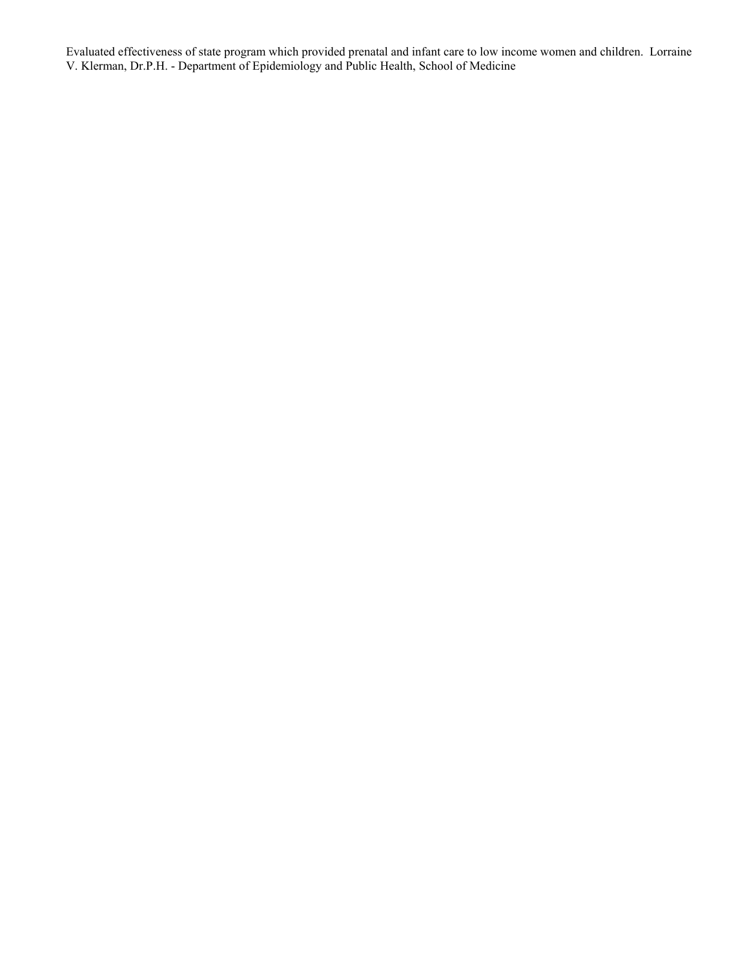Evaluated effectiveness of state program which provided prenatal and infant care to low income women and children. Lorraine V. Klerman, Dr.P.H. - Department of Epidemiology and Public Health, School of Medicine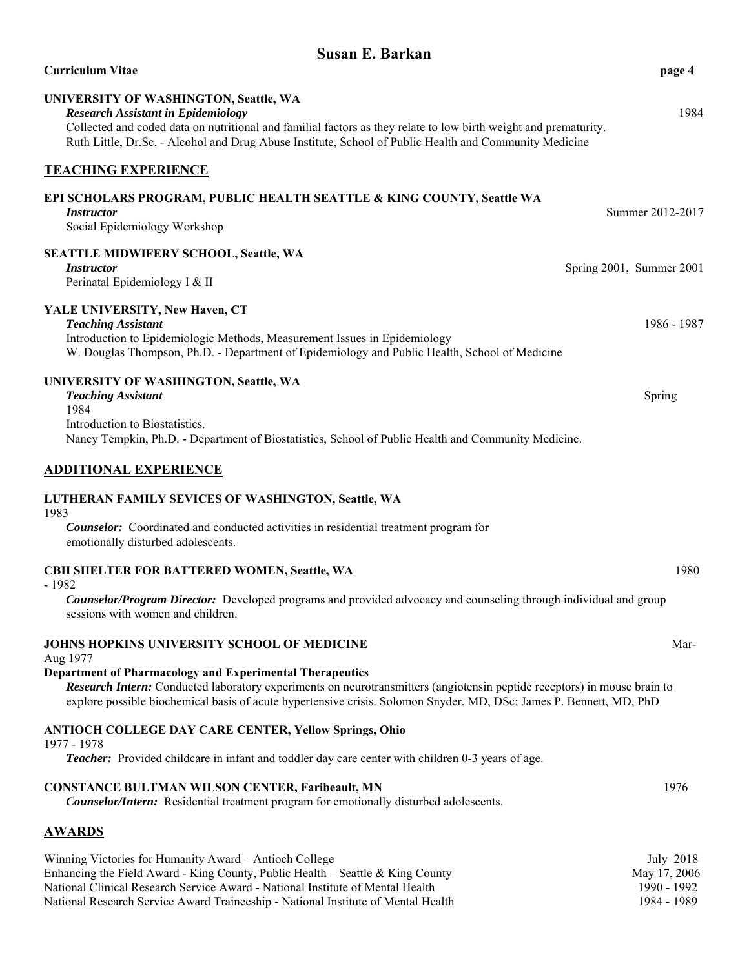| <b>Susan E. Barkan</b>                                                                                                                                                                                                                                                                                           |                          |
|------------------------------------------------------------------------------------------------------------------------------------------------------------------------------------------------------------------------------------------------------------------------------------------------------------------|--------------------------|
| <b>Curriculum Vitae</b>                                                                                                                                                                                                                                                                                          | page 4                   |
| UNIVERSITY OF WASHINGTON, Seattle, WA<br><b>Research Assistant in Epidemiology</b><br>Collected and coded data on nutritional and familial factors as they relate to low birth weight and prematurity.<br>Ruth Little, Dr.Sc. - Alcohol and Drug Abuse Institute, School of Public Health and Community Medicine | 1984                     |
| <b>TEACHING EXPERIENCE</b>                                                                                                                                                                                                                                                                                       |                          |
| EPI SCHOLARS PROGRAM, PUBLIC HEALTH SEATTLE & KING COUNTY, Seattle WA<br><i>Instructor</i><br>Social Epidemiology Workshop                                                                                                                                                                                       | Summer 2012-2017         |
| SEATTLE MIDWIFERY SCHOOL, Seattle, WA<br><i>Instructor</i><br>Perinatal Epidemiology I & II                                                                                                                                                                                                                      | Spring 2001, Summer 2001 |
| YALE UNIVERSITY, New Haven, CT<br><b>Teaching Assistant</b><br>Introduction to Epidemiologic Methods, Measurement Issues in Epidemiology<br>W. Douglas Thompson, Ph.D. - Department of Epidemiology and Public Health, School of Medicine                                                                        | 1986 - 1987              |
| UNIVERSITY OF WASHINGTON, Seattle, WA<br><b>Teaching Assistant</b><br>1984<br>Introduction to Biostatistics.<br>Nancy Tempkin, Ph.D. - Department of Biostatistics, School of Public Health and Community Medicine.                                                                                              | Spring                   |
| <b>ADDITIONAL EXPERIENCE</b>                                                                                                                                                                                                                                                                                     |                          |
| LUTHERAN FAMILY SEVICES OF WASHINGTON, Seattle, WA<br>1983<br><b>Counselor:</b> Coordinated and conducted activities in residential treatment program for<br>emotionally disturbed adolescents.                                                                                                                  |                          |
| CBH SHELTER FOR BATTERED WOMEN, Seattle, WA<br>$-1982$<br>Counselor/Program Director: Developed programs and provided advocacy and counseling through individual and group<br>sessions with women and children.                                                                                                  | 1980                     |
| JOHNS HOPKINS UNIVERSITY SCHOOL OF MEDICINE                                                                                                                                                                                                                                                                      | Mar-                     |

#### Aug 1977

#### **Department of Pharmacology and Experimental Therapeutics**

*Research Intern:* Conducted laboratory experiments on neurotransmitters (angiotensin peptide receptors) in mouse brain to explore possible biochemical basis of acute hypertensive crisis. Solomon Snyder, MD, DSc; James P. Bennett, MD, PhD

#### **ANTIOCH COLLEGE DAY CARE CENTER, Yellow Springs, Ohio**

#### 1977 - 1978

*Teacher:* Provided childcare in infant and toddler day care center with children 0-3 years of age.

#### **CONSTANCE BULTMAN WILSON CENTER, Faribeault, MN** 1976

*Counselor/Intern:* Residential treatment program for emotionally disturbed adolescents.

## **AWARDS**

| Winning Victories for Humanity Award – Antioch College                            | July 2018    |
|-----------------------------------------------------------------------------------|--------------|
| Enhancing the Field Award - King County, Public Health – Seattle & King County    | May 17, 2006 |
| National Clinical Research Service Award - National Institute of Mental Health    | 1990 - 1992  |
| National Research Service Award Traineeship - National Institute of Mental Health | 1984 - 1989  |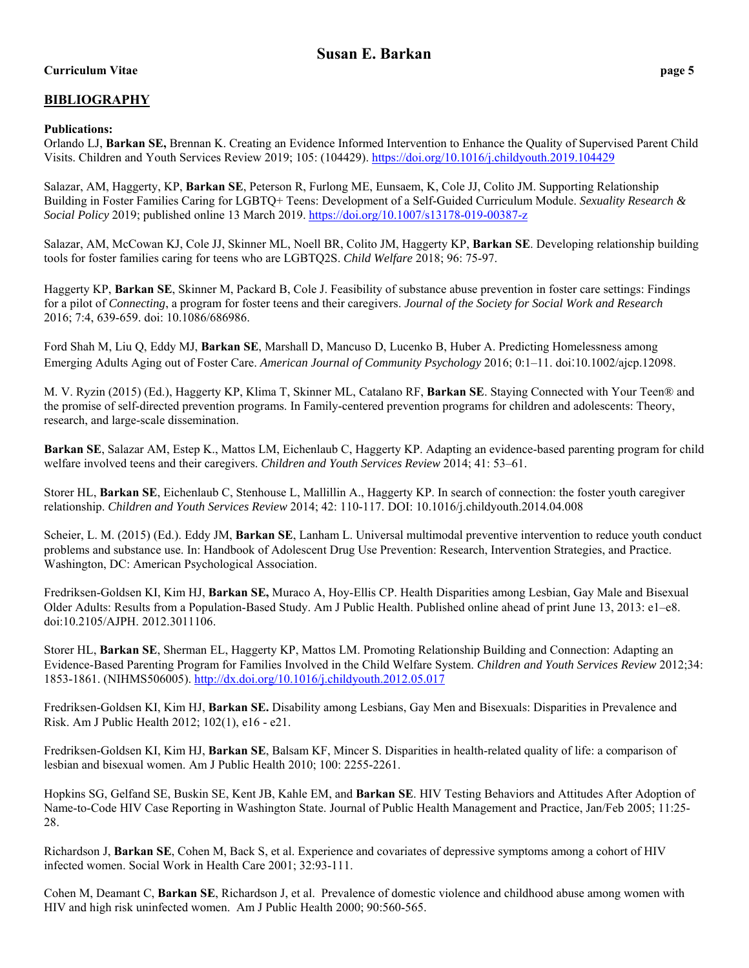# **Curriculum Vitae page 5**

# **BIBLIOGRAPHY**

## **Publications:**

Orlando LJ, **Barkan SE,** Brennan K. Creating an Evidence Informed Intervention to Enhance the Quality of Supervised Parent Child Visits. Children and Youth Services Review 2019; 105: (104429). https://doi.org/10.1016/j.childyouth.2019.104429

Salazar, AM, Haggerty, KP, **Barkan SE**, Peterson R, Furlong ME, Eunsaem, K, Cole JJ, Colito JM. Supporting Relationship Building in Foster Families Caring for LGBTQ+ Teens: Development of a Self-Guided Curriculum Module. *Sexuality Research & Social Policy* 2019; published online 13 March 2019. https://doi.org/10.1007/s13178-019-00387-z

Salazar, AM, McCowan KJ, Cole JJ, Skinner ML, Noell BR, Colito JM, Haggerty KP, **Barkan SE**. Developing relationship building tools for foster families caring for teens who are LGBTQ2S. *Child Welfare* 2018; 96: 75-97.

Haggerty KP, **Barkan SE**, Skinner M, Packard B, Cole J. Feasibility of substance abuse prevention in foster care settings: Findings for a pilot of *Connecting*, a program for foster teens and their caregivers. *Journal of the Society for Social Work and Research*  2016; 7:4, 639-659. doi: 10.1086/686986.

Ford Shah M, Liu Q, Eddy MJ, **Barkan SE**, Marshall D, Mancuso D, Lucenko B, Huber A. Predicting Homelessness among Emerging Adults Aging out of Foster Care. *American Journal of Community Psychology* 2016; 0:1–11. doi:10.1002/ajcp.12098.

M. V. Ryzin (2015) (Ed.), Haggerty KP, Klima T, Skinner ML, Catalano RF, **Barkan SE**. Staying Connected with Your Teen® and the promise of self-directed prevention programs. In Family-centered prevention programs for children and adolescents: Theory, research, and large-scale dissemination.

**Barkan SE**, Salazar AM, Estep K., Mattos LM, Eichenlaub C, Haggerty KP. Adapting an evidence-based parenting program for child welfare involved teens and their caregivers. *Children and Youth Services Review* 2014; 41: 53–61.

Storer HL, **Barkan SE**, Eichenlaub C, Stenhouse L, Mallillin A., Haggerty KP. In search of connection: the foster youth caregiver relationship. *Children and Youth Services Review* 2014; 42: 110-117. DOI: 10.1016/j.childyouth.2014.04.008

Scheier, L. M. (2015) (Ed.). Eddy JM, **Barkan SE**, Lanham L. Universal multimodal preventive intervention to reduce youth conduct problems and substance use. In: Handbook of Adolescent Drug Use Prevention: Research, Intervention Strategies, and Practice. Washington, DC: American Psychological Association.

Fredriksen-Goldsen KI, Kim HJ, **Barkan SE,** Muraco A, Hoy-Ellis CP. Health Disparities among Lesbian, Gay Male and Bisexual Older Adults: Results from a Population-Based Study. Am J Public Health. Published online ahead of print June 13, 2013: e1–e8. doi:10.2105/AJPH. 2012.3011106.

Storer HL, **Barkan SE**, Sherman EL, Haggerty KP, Mattos LM. Promoting Relationship Building and Connection: Adapting an Evidence-Based Parenting Program for Families Involved in the Child Welfare System. *Children and Youth Services Review* 2012;34: 1853-1861. (NIHMS506005). http://dx.doi.org/10.1016/j.childyouth.2012.05.017

Fredriksen-Goldsen KI, Kim HJ, **Barkan SE.** Disability among Lesbians, Gay Men and Bisexuals: Disparities in Prevalence and Risk. Am J Public Health 2012; 102(1), e16 - e21.

Fredriksen-Goldsen KI, Kim HJ, **Barkan SE**, Balsam KF, Mincer S. Disparities in health-related quality of life: a comparison of lesbian and bisexual women. Am J Public Health 2010; 100: 2255-2261.

Hopkins SG, Gelfand SE, Buskin SE, Kent JB, Kahle EM, and **Barkan SE**. HIV Testing Behaviors and Attitudes After Adoption of Name-to-Code HIV Case Reporting in Washington State. Journal of Public Health Management and Practice, Jan/Feb 2005; 11:25- 28.

Richardson J, **Barkan SE**, Cohen M, Back S, et al. Experience and covariates of depressive symptoms among a cohort of HIV infected women. Social Work in Health Care 2001; 32:93-111.

Cohen M, Deamant C, **Barkan SE**, Richardson J, et al. Prevalence of domestic violence and childhood abuse among women with HIV and high risk uninfected women. Am J Public Health 2000; 90:560-565.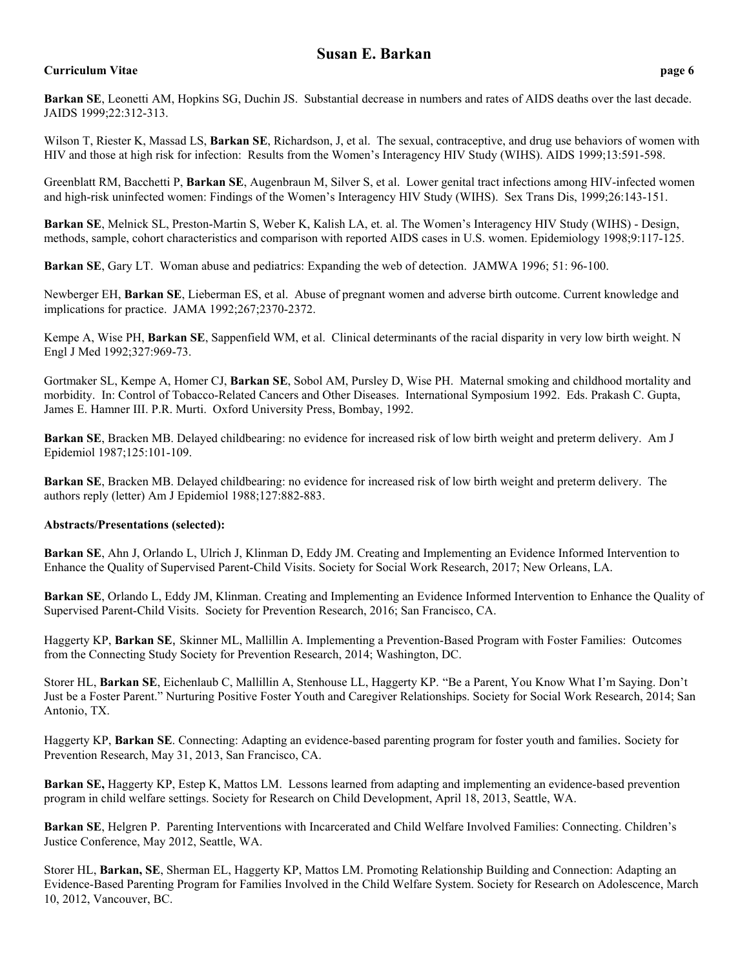# **Curriculum Vitae page 6**

**Barkan SE**, Leonetti AM, Hopkins SG, Duchin JS. Substantial decrease in numbers and rates of AIDS deaths over the last decade. JAIDS 1999;22:312-313.

Wilson T, Riester K, Massad LS, **Barkan SE**, Richardson, J, et al. The sexual, contraceptive, and drug use behaviors of women with HIV and those at high risk for infection: Results from the Women's Interagency HIV Study (WIHS). AIDS 1999;13:591-598.

Greenblatt RM, Bacchetti P, **Barkan SE**, Augenbraun M, Silver S, et al. Lower genital tract infections among HIV-infected women and high-risk uninfected women: Findings of the Women's Interagency HIV Study (WIHS). Sex Trans Dis, 1999;26:143-151.

**Barkan SE**, Melnick SL, Preston-Martin S, Weber K, Kalish LA, et. al. The Women's Interagency HIV Study (WIHS) - Design, methods, sample, cohort characteristics and comparison with reported AIDS cases in U.S. women. Epidemiology 1998;9:117-125.

**Barkan SE**, Gary LT. Woman abuse and pediatrics: Expanding the web of detection. JAMWA 1996; 51: 96-100.

Newberger EH, **Barkan SE**, Lieberman ES, et al. Abuse of pregnant women and adverse birth outcome. Current knowledge and implications for practice. JAMA 1992;267;2370-2372.

Kempe A, Wise PH, **Barkan SE**, Sappenfield WM, et al. Clinical determinants of the racial disparity in very low birth weight. N Engl J Med 1992;327:969-73.

Gortmaker SL, Kempe A, Homer CJ, **Barkan SE**, Sobol AM, Pursley D, Wise PH. Maternal smoking and childhood mortality and morbidity. In: Control of Tobacco-Related Cancers and Other Diseases. International Symposium 1992. Eds. Prakash C. Gupta, James E. Hamner III. P.R. Murti. Oxford University Press, Bombay, 1992.

**Barkan SE**, Bracken MB. Delayed childbearing: no evidence for increased risk of low birth weight and preterm delivery. Am J Epidemiol 1987;125:101-109.

**Barkan SE**, Bracken MB. Delayed childbearing: no evidence for increased risk of low birth weight and preterm delivery. The authors reply (letter) Am J Epidemiol 1988;127:882-883.

## **Abstracts/Presentations (selected):**

**Barkan SE**, Ahn J, Orlando L, Ulrich J, Klinman D, Eddy JM. Creating and Implementing an Evidence Informed Intervention to Enhance the Quality of Supervised Parent-Child Visits. Society for Social Work Research, 2017; New Orleans, LA.

**Barkan SE**, Orlando L, Eddy JM, Klinman. Creating and Implementing an Evidence Informed Intervention to Enhance the Quality of Supervised Parent-Child Visits. Society for Prevention Research, 2016; San Francisco, CA.

Haggerty KP, **Barkan SE**, Skinner ML, Mallillin A. Implementing a Prevention-Based Program with Foster Families: Outcomes from the Connecting Study Society for Prevention Research, 2014; Washington, DC.

Storer HL, **Barkan SE**, Eichenlaub C, Mallillin A, Stenhouse LL, Haggerty KP. "Be a Parent, You Know What I'm Saying. Don't Just be a Foster Parent." Nurturing Positive Foster Youth and Caregiver Relationships. Society for Social Work Research, 2014; San Antonio, TX.

Haggerty KP, **Barkan SE**. Connecting: Adapting an evidence-based parenting program for foster youth and families. Society for Prevention Research, May 31, 2013, San Francisco, CA.

**Barkan SE,** Haggerty KP, Estep K, Mattos LM. Lessons learned from adapting and implementing an evidence-based prevention program in child welfare settings. Society for Research on Child Development, April 18, 2013, Seattle, WA.

**Barkan SE**, Helgren P. Parenting Interventions with Incarcerated and Child Welfare Involved Families: Connecting. Children's Justice Conference, May 2012, Seattle, WA.

Storer HL, **Barkan, SE**, Sherman EL, Haggerty KP, Mattos LM. Promoting Relationship Building and Connection: Adapting an Evidence-Based Parenting Program for Families Involved in the Child Welfare System. Society for Research on Adolescence, March 10, 2012, Vancouver, BC.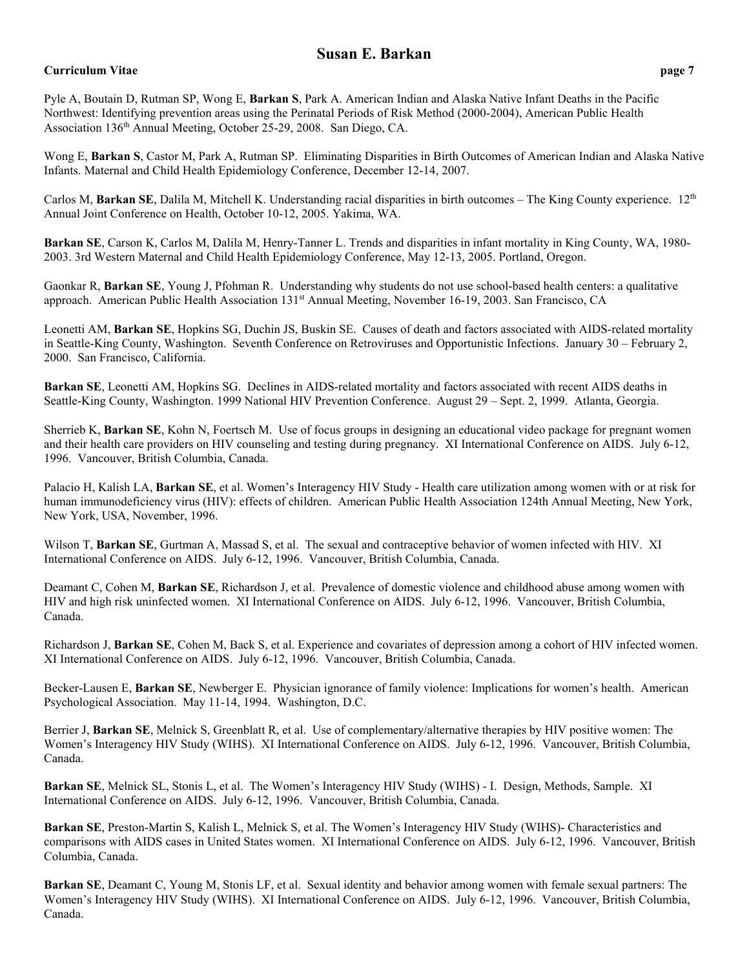# **Curriculum Vitae page 7**

Wong E, **Barkan S**, Castor M, Park A, Rutman SP. Eliminating Disparities in Birth Outcomes of American Indian and Alaska Native Infants. Maternal and Child Health Epidemiology Conference, December 12-14, 2007.

Carlos M, Barkan SE, Dalila M, Mitchell K. Understanding racial disparities in birth outcomes – The King County experience. 12<sup>th</sup> Annual Joint Conference on Health, October 10-12, 2005. Yakima, WA.

**Barkan SE**, Carson K, Carlos M, Dalila M, Henry-Tanner L. Trends and disparities in infant mortality in King County, WA, 1980- 2003. 3rd Western Maternal and Child Health Epidemiology Conference, May 12-13, 2005. Portland, Oregon.

Gaonkar R, **Barkan SE**, Young J, Pfohman R. Understanding why students do not use school-based health centers: a qualitative approach. American Public Health Association 131<sup>st</sup> Annual Meeting, November 16-19, 2003. San Francisco, CA

Leonetti AM, **Barkan SE**, Hopkins SG, Duchin JS, Buskin SE. Causes of death and factors associated with AIDS-related mortality in Seattle-King County, Washington. Seventh Conference on Retroviruses and Opportunistic Infections. January 30 – February 2, 2000. San Francisco, California.

**Barkan SE**, Leonetti AM, Hopkins SG. Declines in AIDS-related mortality and factors associated with recent AIDS deaths in Seattle-King County, Washington. 1999 National HIV Prevention Conference. August 29 – Sept. 2, 1999. Atlanta, Georgia.

Sherrieb K, **Barkan SE**, Kohn N, Foertsch M. Use of focus groups in designing an educational video package for pregnant women and their health care providers on HIV counseling and testing during pregnancy. XI International Conference on AIDS. July 6-12, 1996. Vancouver, British Columbia, Canada.

Palacio H, Kalish LA, **Barkan SE**, et al. Women's Interagency HIV Study - Health care utilization among women with or at risk for human immunodeficiency virus (HIV): effects of children. American Public Health Association 124th Annual Meeting, New York, New York, USA, November, 1996.

Wilson T, **Barkan SE**, Gurtman A, Massad S, et al. The sexual and contraceptive behavior of women infected with HIV. XI International Conference on AIDS. July 6-12, 1996. Vancouver, British Columbia, Canada.

Deamant C, Cohen M, **Barkan SE**, Richardson J, et al. Prevalence of domestic violence and childhood abuse among women with HIV and high risk uninfected women. XI International Conference on AIDS. July 6-12, 1996. Vancouver, British Columbia, Canada.

Richardson J, **Barkan SE**, Cohen M, Back S, et al. Experience and covariates of depression among a cohort of HIV infected women. XI International Conference on AIDS. July 6-12, 1996. Vancouver, British Columbia, Canada.

Becker-Lausen E, **Barkan SE**, Newberger E. Physician ignorance of family violence: Implications for women's health. American Psychological Association. May 11-14, 1994. Washington, D.C.

Berrier J, **Barkan SE**, Melnick S, Greenblatt R, et al. Use of complementary/alternative therapies by HIV positive women: The Women's Interagency HIV Study (WIHS). XI International Conference on AIDS. July 6-12, 1996. Vancouver, British Columbia, Canada.

**Barkan SE**, Melnick SL, Stonis L, et al. The Women's Interagency HIV Study (WIHS) - I. Design, Methods, Sample. XI International Conference on AIDS. July 6-12, 1996. Vancouver, British Columbia, Canada.

**Barkan SE**, Preston-Martin S, Kalish L, Melnick S, et al. The Women's Interagency HIV Study (WIHS)- Characteristics and comparisons with AIDS cases in United States women. XI International Conference on AIDS. July 6-12, 1996. Vancouver, British Columbia, Canada.

**Barkan SE**, Deamant C, Young M, Stonis LF, et al. Sexual identity and behavior among women with female sexual partners: The Women's Interagency HIV Study (WIHS). XI International Conference on AIDS. July 6-12, 1996. Vancouver, British Columbia, Canada.